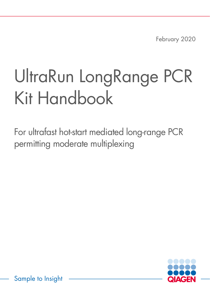February 2020

# UltraRun LongRange PCR Kit Handbook

For ultrafast hot-start mediated long-range PCR permitting moderate multiplexing



Sample to Insight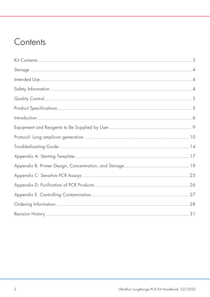### Contents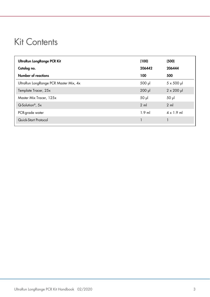### <span id="page-2-0"></span>Kit Contents

| UltraRun LongRange PCR Kit            | (100)          | (500)              |
|---------------------------------------|----------------|--------------------|
| Catalog no.                           | 206442         | 206444             |
| Number of reactions                   | 100            | 500                |
| UltraRun LongRange PCR Master Mix, 4x | 500 µl         | $5 \times 500$ pl  |
| Template Tracer, 25x                  | $200$ $\mu$    | $2 \times 200 \mu$ |
| Master Mix Tracer, 125x               | $50$ $\mu$     | 50 <sub>µ</sub>    |
| $Q-Solution^{\circ}$ , 5x             | $2 \text{ ml}$ | $2 \mathrm{ml}$    |
| PCR-grade water                       | $1.9$ ml       | $4 \times 1.9$ ml  |
| Quick-Start Protocol                  |                |                    |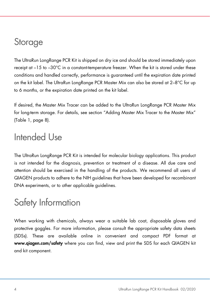### <span id="page-3-0"></span>Storage

The UltraRun LongRange PCR Kit is shipped on dry ice and should be stored immediately upon receipt at –15 to –30°C in a constant-temperature freezer. When the kit is stored under these conditions and handled correctly, performance is guaranteed until the expiration date printed on the kit label. The UltraRun LongRange PCR Master Mix can also be stored at 2–8°C for up to 6 months, or the expiration date printed on the kit label.

If desired, the Master Mix Tracer can be added to the UltraRun LongRange PCR Master Mix for long-term storage. For details, see section ["Adding Master Mix Tracer to the Master Mix"](#page-7-1) [\(Table 1,](#page-7-2) page [8\)](#page-7-2).

### <span id="page-3-1"></span>Intended Use

The UltraRun LongRange PCR Kit is intended for molecular biology applications. This product is not intended for the diagnosis, prevention or treatment of a disease. All due care and attention should be exercised in the handling of the products. We recommend all users of QIAGEN products to adhere to the NIH guidelines that have been developed for recombinant DNA experiments, or to other applicable guidelines.

### <span id="page-3-2"></span>Safety Information

When working with chemicals, always wear a suitable lab coat, disposable gloves and protective goggles. For more information, please consult the appropriate safety data sheets (SDSs). These are available online in convenient and compact PDF format at www.qiagen.com/safety where you can find, view and print the SDS for each QIAGEN kit and kit component.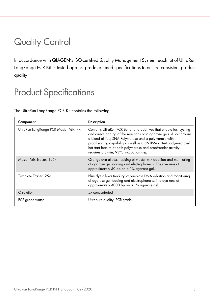### <span id="page-4-0"></span>Quality Control

In accordance with QIAGEN's ISO-certified Quality Management System, each lot of UltraRun LongRange PCR Kit is tested against predetermined specifications to ensure consistent product quality.

### <span id="page-4-1"></span>Product Specifications

The UltraRun LongRange PCR Kit contains the following:

| Component                             | <b>Description</b>                                                                                                                                                                                                                                                                                                                                                                 |
|---------------------------------------|------------------------------------------------------------------------------------------------------------------------------------------------------------------------------------------------------------------------------------------------------------------------------------------------------------------------------------------------------------------------------------|
| UltraRun LongRange PCR Master Mix, 4x | Contains UltraRun PCR Buffer and additives that enable fast cycling<br>and direct loading of the reactions onto agarose gels. Also contains<br>a blend of Tag DNA Polymerase and a polymerase with<br>proofreading capability as well as a dNTP-Mix. Antibody-mediated<br>hot-start feature of both polymerase and proofreader activity<br>requires a 3-min, 93°C incubation step. |
| Master Mix Tracer, 125x               | Orange dye allows tracking of master mix addition and monitoring<br>of agarose gel loading and electrophoresis. The dye runs at<br>approximately 50 bp on a 1% agarose gel.                                                                                                                                                                                                        |
| Template Tracer, 25x                  | Blue dye allows tracking of template DNA addition and monitoring<br>of agarose gel loading and electrophoresis. The dye runs at<br>approximately 4000 bp on a 1% agarose gel                                                                                                                                                                                                       |
| Q-solution                            | 5x concentrated                                                                                                                                                                                                                                                                                                                                                                    |
| PCR-grade water                       | Ultrapure quality, PCR-grade                                                                                                                                                                                                                                                                                                                                                       |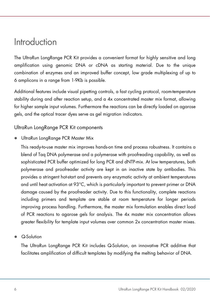### <span id="page-5-0"></span>Introduction

The UltraRun LongRange PCR Kit provides a convenient format for highly sensitive and long amplification using genomic DNA or cDNA as starting material. Due to the unique combination of enzymes and an improved buffer concept, low grade multiplexing of up to 6 amplicons in a range from 1-9Kb is possible.

Additional features include visual pipetting controls, a fast cycling protocol, room-temperature stability during and after reaction setup, and a 4x concentrated master mix format, allowing for higher sample input volumes. Furthermore the reactions can be directly loaded on agarose gels, and the optical tracer dyes serve as gel migration indicators.

UltraRun LongRange PCR Kit components

UltraRun LongRange PCR Master Mix

This ready-to-use master mix improves hands-on time and process robustness. It contains a blend of Taq DNA polymerase and a polymerase with proofreading capability, as well as sophisticated PCR buffer optimized for long PCR and dNTP-mix. At low temperatures, both polymerase and proofreader activity are kept in an inactive state by antibodies. This provides a stringent hot-start and prevents any enzymatic activity at ambient temperatures and until heat activation at 93°C, which is particularly important to prevent primer or DNA damage caused by the proofreader activity. Due to this functionality, complete reactions including primers and template are stable at room temperature for longer periods improving process handling. Furthermore, the master mix formulation enables direct load of PCR reactions to agarose gels for analysis. The 4x master mix concentration allows greater flexibility for template input volumes over common 2x concentration master mixes.

Q-Solution

The UltraRun LongRange PCR Kit includes Q-Solution, an innovative PCR additive that facilitates amplification of difficult templates by modifying the melting behavior of DNA.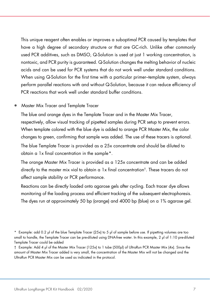This unique reagent often enables or improves a suboptimal PCR caused by templates that have a high degree of secondary structure or that are GC-rich. Unlike other commonly used PCR additives, such as DMSO, Q-Solution is used at just 1 working concentration, is nontoxic, and PCR purity is guaranteed. Q-Solution changes the melting behavior of nucleic acids and can be used for PCR systems that do not work well under standard conditions. When using Q-Solution for the first time with a particular primer–template system, always perform parallel reactions with and without Q-Solution, because it can reduce efficiency of PCR reactions that work well under standard buffer conditions.

#### • Master Mix Tracer and Template Tracer

The blue and orange dyes in the Template Tracer and in the Master Mix Tracer, respectively, allow visual tracking of pipetted samples during PCR setup to prevent errors. When template colored with the blue dye is added to orange PCR Master Mix, the color changes to green, confirming that sample was added. The use of these tracers is optional.

The blue Template Tracer is provided as a 25x concentrate and should be diluted to obtain a 1x final concentration in the sample[\\*.](#page-6-0)

The orange Master Mix Tracer is provided as a 125x concentrate and can be added directly to the master mix vial to obtain a 1x final concentration†. These tracers do not affect sample stability or PCR performance.

Reactions can be directly loaded onto agarose gels after cycling. Each tracer dye allows monitoring of the loading process and efficient tracking of the subsequent electrophoresis. The dyes run at approximately 50 bp (orange) and 4000 bp (blue) on a 1% agarose gel.

<span id="page-6-0"></span><sup>\*</sup> Example: add 0.2 μl of the blue Template Tracer (25x) to 5 μl of sample before use. If pipetting volumes are too small to handle, the Template Tracer can be pre-diluted using DNA-free water. In this example, 2 μl of 1:10 pre-diluted Template Tracer could be added

<sup>†</sup> Example: Add 4 μl of the Master Mix Tracer (125x) to 1 tube (500μl) of UltraRun PCR Master Mix (4x). Since the amount of Master Mix Tracer added is very small, the concentration of the Master Mix will not be changed and the UltraRun PCR Master Mix can be used as indicated in the protocol.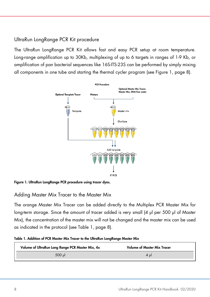### <span id="page-7-0"></span>UltraRun LongRange PCR Kit procedure

The UltraRun LongRange PCR Kit allows fast and easy PCR setup at room temperature. Long-range amplification up to 30Kb, multiplexing of up to 6 targets in ranges of 1-9 Kb, or amplification of pan bacterial sequences like 16S-ITS-23S can be performed by simply mixing all components in one tube and starting the thermal cycler program (see [Figure 1,](#page-7-3) page [8\)](#page-7-3).



<span id="page-7-3"></span><span id="page-7-1"></span>Figure 1. UltraRun LongRange PCR procedure using tracer dyes.

#### Adding Master Mix Tracer to the Master Mix

The orange Master Mix Tracer can be added directly to the Multiplex PCR Master Mix for long-term storage. Since the amount of tracer added is very small (4 µl per 500 µl of Master Mix), the concentration of the master mix will not be changed and the master mix can be used as indicated in the protocol (see [Table 1,](#page-7-2) page [8\)](#page-7-2).

<span id="page-7-2"></span>

|  |  | Table 1. Addition of PCR Master Mix Tracer to the UltraRun LongRange Master Mix |  |  |  |  |
|--|--|---------------------------------------------------------------------------------|--|--|--|--|
|--|--|---------------------------------------------------------------------------------|--|--|--|--|

| Volume of UltraRun Long Range PCR Master Mix, 4x | <b>Volume of Master Mix Tracer</b> |
|--------------------------------------------------|------------------------------------|
| 500 ul                                           | 4 ul                               |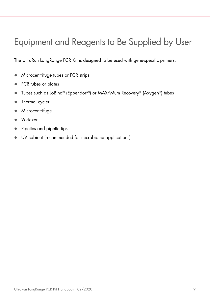### Equipment and Reagents to Be Supplied by User

The UltraRun LongRange PCR Kit is designed to be used with gene-specific primers.

- **Microcentrifuge tubes or PCR strips**
- PCR tubes or plates
- Tubes such as LoBind® (Eppendorf®) or MAXYMum Recovery® (Axygen®) tubes
- Thermal cycler
- **Microcentrifuge**
- Vortexer
- Pipettes and pipette tips
- UV cabinet (recommended for microbiome applications)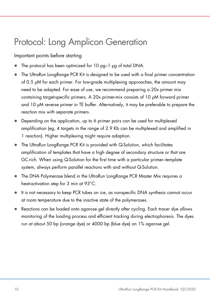### <span id="page-9-0"></span>Protocol: Long Amplicon Generation

Important points before starting

- The protocol has been optimized for 10 pg–1 μg of total DNA.
- The UltraRun LongRange PCR Kit is designed to be used with a final primer concentration of 0.5 µM for each primer. For low-grade multiplexing approaches, the amount may need to be adapted. For ease of use, we recommend preparing a 20x primer mix containing target-specific primers. A 20x primer-mix consists of 10 μM forward primer and 10 μM reverse primer in TE buffer. Alternatively, it may be preferable to prepare the reaction mix with separate primers.
- Depending on the application, up to 6 primer pairs can be used for multiplexed amplification (eg, 4 targets in the range of 2.9 Kb can be multiplexed and amplified in 1 reaction). Higher multiplexing might require adaption.
- The UltraRun LongRange PCR Kit is provided with Q-Solution, which facilitates amplification of templates that have a high degree of secondary structure or that are GC-rich. When using Q-Solution for the first time with a particular primer–template system, always perform parallel reactions with and without Q-Solution.
- The DNA Polymerase blend in the UltraRun LongRange PCR Master Mix requires a heat-activation step for 3 min at 93°C.
- It is not necessary to keep PCR tubes on ice, as nonspecific DNA synthesis cannot occur at room temperature due to the inactive state of the polymerases.
- Reactions can be loaded onto agarose gel directly after cycling. Each tracer dye allows monitoring of the loading process and efficient tracking during electrophoresis. The dyes run at about 50 bp (orange dye) or 4000 bp (blue dye) on 1% agarose gel.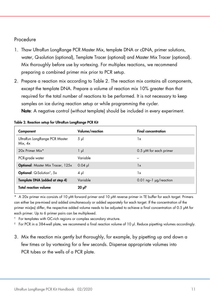#### Procedure

- 1. Thaw UltraRun LongRange PCR Master Mix, template DNA or cDNA, primer solutions, water, Q-solution (optional), Template Tracer (optional) and Master Mix Tracer (optional). Mix thoroughly before use by vortexing. For multiplex reactions, we recommend preparing a combined primer mix prior to PCR setup.
- 2. Prepare a reaction mix according to [Table 2.](#page-10-0) The reaction mix contains all components, except the template DNA. Prepare a volume of reaction mix 10% greater than that required for the total number of reactions to be performed. It is not necessary to keep samples on ice during reaction setup or while programming the cycler. Note: A negative control (without template) should be included in every experiment.

| Component                                     | Volume/reaction       | <b>Final concentration</b>    |
|-----------------------------------------------|-----------------------|-------------------------------|
| UltraRun LongRange PCR Master<br>Mix. 4x      | $5 \mu$               | 1x                            |
| 20x Primer Mix*                               | $1 \mu$               | $0.5$ $\mu$ M for each primer |
| PCR-grade water                               | Variable              |                               |
| <b>Optional: Master Mix Tracer, 125x</b>      | $0.04$ pl             | 1x                            |
| <b>Optional:</b> Q-Solution <sup>†</sup> , 5x | $4 \mu$               | 1x                            |
| Template DNA (added at step 4)                | Variable              | $0.01$ ng-1 $\mu$ g/reaction  |
| <b>Total reaction volume</b>                  | $20 \mu$ <sup>†</sup> |                               |

<span id="page-10-0"></span>

|  |  |  | Table 2. Reaction setup for UltraRun LongRange PCR Kit |  |
|--|--|--|--------------------------------------------------------|--|
|  |  |  |                                                        |  |

\* A 20x primer mix consists of 10 μM forward primer and 10 μM reverse primer in TE buffer for each target. Primers can either be pre-mixed and added simultaneously or added separately for each target. If the concentration of the primer mix(es) differ, the respective added volume needs to be adjusted to achieve a final concentration of 0.5 μM for each primer. Up to 6 primer pairs can be multiplexed.

† For templates with GC-rich regions or complex secondary structure.

‡ For PCR in a 384-well plate, we recommend a final reaction volume of 10 µl. Reduce pipetting volumes accordingly.

3. Mix the reaction mix gently but thoroughly, for example, by pipetting up and down a few times or by vortexing for a few seconds. Dispense appropriate volumes into PCR tubes or the wells of a PCR plate.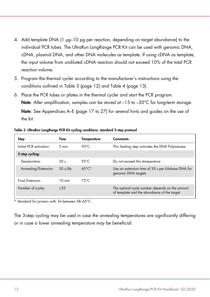- <span id="page-11-1"></span>4. Add template DNA (1 µg–10 pg per reaction, depending on target abundance) to the individual PCR tubes. The UltraRun LongRange PCR Kit can be used with genomic DNA, cDNA, plasmid DNA, and other DNA molecules as template. If using cDNA as template, the input volume from undiluted cDNA reaction should not exceed 10% of the total PCR reaction volume.
- 5. Program the thermal cycler according to the manufacturer's instructions using the conditions outlined in [Table 3](#page-11-0) (page [12\)](#page-11-0) and [Table 4](#page-11-1) (page [13\)](#page-11-1).
- 6. Place the PCR tubes or plates in the thermal cycler and start the PCR program. Note: After amplification, samples can be stored at  $-15$  to  $-30^{\circ}$ C for long-term storage.

Note: See Appendices A–E (page [17](#page-16-0) to [27\)](#page-26-0) for several hints and guides on the use of the kit.

| Step                   | Time             | Temperature      | <b>Comments</b>                                                                                |
|------------------------|------------------|------------------|------------------------------------------------------------------------------------------------|
| Initial PCR activation | $3$ min          | 93 $°C$          | This heating step activates the DNA Polymerase.                                                |
| 2-step cycling:        |                  |                  |                                                                                                |
| Denaturation           | 30 <sub>s</sub>  | 93 $°C$          | Do not exceed this temperature.                                                                |
| Annealing/Extension    | 30 s/kb          | $6.5^{\circ}$ C* | Use an extension time of 30 s per kilobase DNA for<br>genomic DNA targets.                     |
| Final Extension        | $10 \text{ min}$ | $72^{\circ}$ C   |                                                                                                |
| Number of cycles       | $<$ 35           |                  | The optimal cycle number depends on the amount<br>of template and the abundance of the target. |

<span id="page-11-0"></span>Table 3. UltraRun LongRange PCR Kit cycling conditions: standard 2-step protocol

\* Standard for primers with  $\textit{Tm}$  between 58-65°C.

The 3-step cycling may be used in case the annealing temperatures are significantly differing or in case a lower annealing temperature may be beneficial.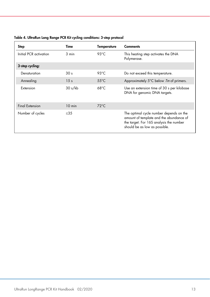| Step                   | Time            | Temperature    | <b>Comments</b>                                                                                                                                                |
|------------------------|-----------------|----------------|----------------------------------------------------------------------------------------------------------------------------------------------------------------|
| Initial PCR activation | $3$ min         | 93 $°C$        | This heating step activates the DNA<br>Polymerase.                                                                                                             |
| 3-step cycling:        |                 |                |                                                                                                                                                                |
| Denaturation           | 30 <sub>s</sub> | 93 $°C$        | Do not exceed this temperature.                                                                                                                                |
| Annealing              | 15 <sub>s</sub> | $55^{\circ}$ C | Approximately 5°C below Tm of primers.                                                                                                                         |
| Extension              | 30 s/kb         | $68^{\circ}$ C | Use an extension time of 30 s per kilobase<br>DNA for genomic DNA targets.                                                                                     |
| <b>Final Extension</b> | $10$ min        | $72^{\circ}$ C |                                                                                                                                                                |
| Number of cycles       | <35             |                | The optimal cycle number depends on the<br>amount of template and the abundance of<br>the target. For 16S analysis the number<br>should be as low as possible. |

#### Table 4. UltraRun Long Range PCR Kit cycling conditions: 3-step protocol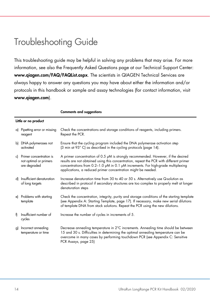### <span id="page-13-0"></span>Troubleshooting Guide

This troubleshooting guide may be helpful in solving any problems that may arise. For more information, see also the Frequently Asked Questions page at our Technical Support Center: www.qiagen.com/FAQ/FAQList.aspx. The scientists in QIAGEN Technical Services are always happy to answer any questions you may have about either the information and/or protocols in this handbook or sample and assay technologies (for contact information, visit www.qiagen.com).

|    | Little or no product                                              |                                                                                                                                                                                                                                                                                                                                        |  |  |  |
|----|-------------------------------------------------------------------|----------------------------------------------------------------------------------------------------------------------------------------------------------------------------------------------------------------------------------------------------------------------------------------------------------------------------------------|--|--|--|
|    | a) Pipetting error or missing<br>reagent                          | Check the concentrations and storage conditions of reagents, including primers.<br>Repeat the PCR.                                                                                                                                                                                                                                     |  |  |  |
| bl | DNA polymerases not<br>activated                                  | Ensure that the cycling program included the DNA polymerase activation step<br>(3 min at 93°C) as described in the cycling protocols (page 14).                                                                                                                                                                                        |  |  |  |
| c) | Primer concentration is<br>not optimal or primers<br>are degraded | A primer concentration of 0.5 $\mu$ M is strongly recommended. However, if the desired<br>results are not obtained using this concentration, repeat the PCR with different primer<br>concentrations from 0.2-1.0 µM in 0.1 µM increments. For high-grade multiplexing<br>applications, a reduced primer concentration might be needed. |  |  |  |
| d) | Insufficient denaturation<br>of long targets                      | Increase denaturation time from 30 to 40 or 50 s. Alternatively use Q-solution as<br>described in protocol if secondary structures are too complex to properly melt at longer<br>denaturation steps                                                                                                                                    |  |  |  |
|    | e) Problems with starting<br>template                             | Check the concentration, integrity, purity and storage conditions of the starting template<br>(see Appendix A: Starting Template, page 17). If necessary, make new serial dilutions<br>of template DNA from stock solutions. Repeat the PCR using the new dilutions.                                                                   |  |  |  |
| Ð  | Insufficient number of<br>cycles                                  | Increase the number of cycles in increments of 5.                                                                                                                                                                                                                                                                                      |  |  |  |
| g) | Incorrect annealing<br>temperature or time                        | Decrease annealing temperature in 2°C increments. Annealing time should be between<br>15 and 30 s. Difficulties in determining the optimal annealing temperature can be<br>overcome in many cases by performing touchdown PCR (see Appendix C: Sensitive<br>PCR Assays, page 25)                                                       |  |  |  |

Comments and suggestions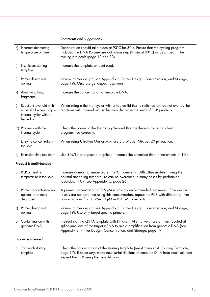#### Comments and suggestions

|              | h) Incorrect denaturing<br>temperature or time                                             | Denaturation should take place at 93°C for 30 s. Ensure that the cycling program<br>included the DNA Polymerase activation step (3 min at 93°C) as described in the<br>cycling protocols (page 12 and 13).                                  |
|--------------|--------------------------------------------------------------------------------------------|---------------------------------------------------------------------------------------------------------------------------------------------------------------------------------------------------------------------------------------------|
| i)           | Insufficient starting<br>template                                                          | Increase the template amount used.                                                                                                                                                                                                          |
| i)           | Primer design not<br>optimal                                                               | Review primer design (see Appendix B: Primer Design, Concentration, and Storage,<br>page 19). Only use gene-specific primers.                                                                                                               |
|              | k) Amplifying long<br>fragments                                                            | Increase the concentration of template DNA.                                                                                                                                                                                                 |
| $\mathbf{I}$ | Reactions overlaid with<br>mineral oil when using a<br>thermal cycler with a<br>heated lid | When using a thermal cycler with a heated lid that is switched on, do not overlay the<br>reactions with mineral oil, as this may decrease the yield of PCR products.                                                                        |
|              | m) Problems with the<br>thermal cycler                                                     | Check the power to the thermal cycler and that the thermal cycler has been<br>programmed correctly.                                                                                                                                         |
|              | n) Enzyme concentrations<br>too low                                                        | When using UltraRun Master Mix, use 5 µl Master Mix per 20 µl reaction.                                                                                                                                                                     |
|              | o) Extension time too short                                                                | Use 30s/kb of expected amplicon. Increase the extension time in increments of 10 s.                                                                                                                                                         |
|              | Product is multi-banded                                                                    |                                                                                                                                                                                                                                             |
|              | a) PCR annealing<br>temperature is too low                                                 | Increase annealing temperature in 2°C increments. Difficulties in determining the<br>optimal annealing temperature can be overcome in many cases by performing<br>touchdown PCR (see Appendix C, page 26).                                  |
|              | b) Primer concentration not<br>optimal or primers<br>degraded                              | A primer concentration of 0.5 µM is strongly recommended. However, if the desired<br>results are not obtained using this concentration, repeat the PCR with different primer<br>concentrations from 0.25-1.0 µM in 0.1 µM increments.       |
|              | c) Primer design not<br>optimal                                                            | Review primer design (see Appendix B: Primer Design, Concentration, and Storage,<br>page 19). Use only target-specific primers.                                                                                                             |
|              | d) Contamination with<br>genomic DNA                                                       | Pretreat starting cDNA template with DNase I. Alternatively, use primers located at<br>splice junctions of the target mRNA to avoid amplification from genomic DNA (see<br>Appendix B: Primer Design, Concentration, and Storage, page 19). |
|              | Product is smeared                                                                         |                                                                                                                                                                                                                                             |
|              | a) Too much starting<br>template                                                           | Check the concentration of the starting template (see Appendix A: Starting Template,<br>page 17). If necessary, make new serial dilutions of template DNA from stock solutions.<br>Repeat the PCR using the new dilutions.                  |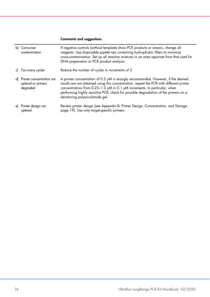#### Comments and suggestions

|    | b) Carry-over<br>contamination                             | If negative controls (without template) show PCR products or smears, change all<br>reagents. Use disposable pipette tips containing hydrophobic filters to minimize<br>cross-contamination. Set up all reaction mixtures in an area separate from that used for<br>DNA preparation or PCR product analysis.                                                                        |
|----|------------------------------------------------------------|------------------------------------------------------------------------------------------------------------------------------------------------------------------------------------------------------------------------------------------------------------------------------------------------------------------------------------------------------------------------------------|
|    | c) Too many cycles                                         | Reduce the number of cycles in increments of 3.                                                                                                                                                                                                                                                                                                                                    |
| d) | Primer concentration not<br>optimal or primers<br>degraded | A primer concentration of 0.5 µM is strongly recommended. However, if the desired<br>results are not obtained using this concentration, repeat the PCR with different primer<br>concentrations from 0.25-1.0 µM in 0.1 µM increments. In particular, when<br>performing highly sensitive PCR, check for possible degradation of the primers on a<br>denaturing polyacrylamide gel. |
|    | e) Primer design not<br>optimal                            | Review primer design (see Appendix B: Primer Design, Concentration, and Storage,<br>page 19). Use only target-specific primers.                                                                                                                                                                                                                                                    |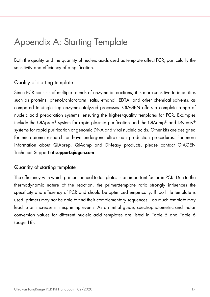### <span id="page-16-0"></span>Appendix A: Starting Template

Both the quality and the quantity of nucleic acids used as template affect PCR, particularly the sensitivity and efficiency of amplification.

### Quality of starting template

Since PCR consists of multiple rounds of enzymatic reactions, it is more sensitive to impurities such as proteins, phenol/chloroform, salts, ethanol, EDTA, and other chemical solvents, as compared to single-step enzyme-catalyzed processes. QIAGEN offers a complete range of nucleic acid preparation systems, ensuring the highest-quality templates for PCR. Examples include the QIAprep® system for rapid plasmid purification and the QIAamp® and DNeasy® systems for rapid purification of genomic DNA and viral nucleic acids. Other kits are designed for microbiome research or have undergone ultra-clean production procedures. For more information about QIAprep, QIAamp and DNeasy products, please contact QIAGEN Technical Support at support.qiagen.com.

#### Quantity of starting template

The efficiency with which primers anneal to templates is an important factor in PCR. Due to the thermodynamic nature of the reaction, the primer:template ratio strongly influences the specificity and efficiency of PCR and should be optimized empirically. If too little template is used, primers may not be able to find their complementary sequences. Too much template may lead to an increase in mispriming events. As an initial guide, spectrophotometric and molar conversion values for different nucleic acid templates are listed in [Table 5](#page-17-0) and [Table 6](#page-17-1) (page [18\)](#page-17-0).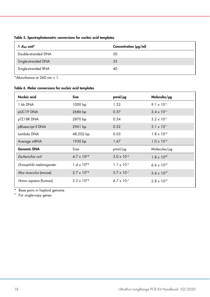| 1 $A_{\rm Z0}$ unit* | Concentration $\frac{\mu g}{m}$ |
|----------------------|---------------------------------|
| Double-stranded DNA  | 50                              |
| Single-stranded DNA  | 33                              |
| Single-stranded RNA  | 40                              |
|                      |                                 |

#### <span id="page-17-0"></span>Table 5. Spectrophotometric conversions for nucleic acid templates

\*Absorbance at  $260 \text{ nm} = 1$ .

#### <span id="page-17-1"></span>Table 6. Molar conversions for nucleic acid templates

| Nucleic acid            | <b>Size</b>          | $pmol/\mu$ g         | Molecules/pg         |
|-------------------------|----------------------|----------------------|----------------------|
| 1 kb DNA                | 1000 bp              | 1.52                 | $9.1 \times 10^{11}$ |
| pUC19 DNA               | 2686 bp              | 0.57                 | $3.4 \times 10^{11}$ |
| pTZ18R DNA              | 2870 bp              | 0.54                 | $3.2 \times 10^{11}$ |
| pBluescript II DNA      | 2961 bp              | 0.52                 | $3.1 \times 10^{11}$ |
| Lambda DNA              | 48,502 bp            | 0.03                 | $1.8 \times 10^{10}$ |
| Average mRNA            | 1930 bp              | 1.67                 | $1.0 \times 10^{12}$ |
| <b>Genomic DNA</b>      | Size                 | pmol/µg              | Molecules/µg         |
| Escherichia coli        | $4.7 \times 10^{6*}$ | $3.0 \times 10^{-4}$ | $1.8 \times 10^{8}$  |
| Drosophila melanogaster | $1.4 \times 10^{8*}$ | $1.1 \times 10^{-5}$ | $6.6 \times 10^{5}$  |
| Mus musculus (mouse)    | $2.7 \times 10^{9*}$ | $5.7 \times 10^{-7}$ | $3.4 \times 10^{5}$  |
| Homo sapiens (human)    | $3.3 \times 10^{9*}$ | $4.7 \times 10^{-7}$ | $2.8 \times 10^{5}$  |

\* Base pairs in haploid genome.

† For single-copy genes.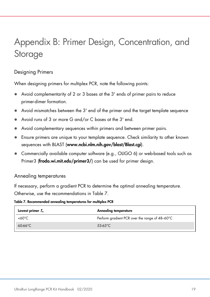## <span id="page-18-0"></span>Appendix B: Primer Design, Concentration, and Storage

### Designing Primers

When designing primers for multiplex PCR, note the following points:

- Avoid complementarity of 2 or 3 bases at the 3' ends of primer pairs to reduce primer-dimer formation.
- Avoid mismatches between the 3' end of the primer and the target template sequence
- Avoid runs of 3 or more G and/or C bases at the 3' end.
- Avoid complementary sequences within primers and between primer pairs.
- Ensure primers are unique to your template sequence. Check similarity to other known sequences with BLAST (www.ncbi.nlm.nih.gov/blast/Blast.cgi).
- Commercially available computer software (e.g., OLIGO 6) or web-based tools such as Primer3 (frodo.wi.mit.edu/primer3/) can be used for primer design.

#### Annealing temperatures

If necessary, perform a gradient PCR to determine the optimal annealing temperature. Otherwise, use the recommendations in [Table 7.](#page-18-1)

<span id="page-18-1"></span>Table 7. Recommended annealing temperatures for multiplex PCR

| Lowest primer $T_m$ | Annealing temperature                          |
|---------------------|------------------------------------------------|
| $<60^{\circ}C$      | Perform gradient PCR over the range of 48-60°C |
| $60.66^{\circ}$ C   | 53-63 $°C$                                     |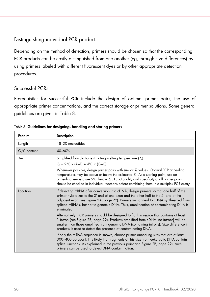### Distinguishing individual PCR products

Depending on the method of detection, primers should be chosen so that the corresponding PCR products can be easily distinguished from one another (eg, through size differences) by using primers labeled with different fluorescent dyes or by other appropriate detection procedures.

#### Successful PCRs

Prerequisites for successful PCR include the design of optimal primer pairs, the use of appropriate primer concentrations, and the correct storage of primer solutions. Some general guidelines are given in [Table 8.](#page-19-0)

| Feature     | <b>Description</b>                                                                                                                                                                                                                                                                                                                                                      |
|-------------|-------------------------------------------------------------------------------------------------------------------------------------------------------------------------------------------------------------------------------------------------------------------------------------------------------------------------------------------------------------------------|
| Length      | 18-30 nucleotides                                                                                                                                                                                                                                                                                                                                                       |
| G/C content | $40 - 60%$                                                                                                                                                                                                                                                                                                                                                              |
| Tm:         | Simplified formula for estimating melting temperature $(T_m)$<br>$T_m = 2^{\circ}C \times (A+T) + 4^{\circ}C \times (G+C)$<br>Whenever possible, design primer pairs with similar $T_m$ values. Optimal PCR annealing                                                                                                                                                   |
|             | temperatures may be above or below the estimated $Tm$ . As a starting point, use an<br>annealing temperature $5^{\circ}$ C below $T_m$ . Functionality and specificity of all primer pairs<br>should be checked in individual reactions before combining them in a multiplex PCR assay.                                                                                 |
| Location    | If detecting mRNA after conversion into cDNA, design primers so that one half of the<br>primer hybridizes to the 3' end of one exon and the other half to the 5' end of the<br>adjacent exon (see Figure 2A, page 22). Primers will anneal to cDNA synthesized from<br>spliced mRNAs, but not to genomic DNA. Thus, amplification of contaminating DNA is<br>eliminated |
|             | Alternatively, PCR primers should be designed to flank a region that contains at least<br>1 intron (see Figure 2B, page 22). Products amplified from cDNA (no introns) will be<br>smaller than those amplified from genomic DNA (containing introns). Size difference in<br>products is used to detect the presence of contaminating DNA.                               |
|             | If only the mRNA sequence is known, choose primer annealing sites that are at least<br>300-400 bp apart. It is likely that fragments of this size from eukaryotic DNA contain<br>splice junctions. As explained in the previous point and Figure 2B, page 22), such<br>primers can be used to detect DNA contamination.                                                 |

<span id="page-19-0"></span>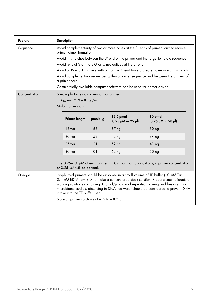| Avoid complementarity of two or more bases at the 3' ends of primer pairs to reduce<br>primer-dimer formation. |              |                                                                                                         |                                                                                                                                                                                                                                                                                                                                                                                                                                                                                                                                                                |
|----------------------------------------------------------------------------------------------------------------|--------------|---------------------------------------------------------------------------------------------------------|----------------------------------------------------------------------------------------------------------------------------------------------------------------------------------------------------------------------------------------------------------------------------------------------------------------------------------------------------------------------------------------------------------------------------------------------------------------------------------------------------------------------------------------------------------------|
| Avoid mismatches between the 3' end of the primer and the target-template sequence.                            |              |                                                                                                         |                                                                                                                                                                                                                                                                                                                                                                                                                                                                                                                                                                |
| Avoid runs of 3 or more G or C nucleotides at the 3' end.                                                      |              |                                                                                                         |                                                                                                                                                                                                                                                                                                                                                                                                                                                                                                                                                                |
| Avoid a 3'- end T. Primers with a T at the 3' end have a greater tolerance of mismatch.                        |              |                                                                                                         |                                                                                                                                                                                                                                                                                                                                                                                                                                                                                                                                                                |
| Avoid complementary sequences within a primer sequence and between the primers of<br>a primer pair.            |              |                                                                                                         |                                                                                                                                                                                                                                                                                                                                                                                                                                                                                                                                                                |
| Commercially available computer software can be used for primer design.                                        |              |                                                                                                         |                                                                                                                                                                                                                                                                                                                                                                                                                                                                                                                                                                |
|                                                                                                                |              |                                                                                                         |                                                                                                                                                                                                                                                                                                                                                                                                                                                                                                                                                                |
|                                                                                                                |              |                                                                                                         |                                                                                                                                                                                                                                                                                                                                                                                                                                                                                                                                                                |
| Molar conversions:                                                                                             |              |                                                                                                         |                                                                                                                                                                                                                                                                                                                                                                                                                                                                                                                                                                |
| Primer length                                                                                                  | $pmol/\mu g$ | 12.5 pmol<br>$(0.25 \mu M \text{ in } 25 \mu)$                                                          | 10 pmol<br>$(0.25 \mu M \text{ in } 20 \mu)$                                                                                                                                                                                                                                                                                                                                                                                                                                                                                                                   |
| 18 <sub>mer</sub>                                                                                              | 168          | 37 <sub>ng</sub>                                                                                        | 30 <sub>ng</sub>                                                                                                                                                                                                                                                                                                                                                                                                                                                                                                                                               |
| 20 <sub>mer</sub>                                                                                              | 152          | 42 <sub>ng</sub>                                                                                        | 34 <sub>ng</sub>                                                                                                                                                                                                                                                                                                                                                                                                                                                                                                                                               |
| 25 <sub>mer</sub>                                                                                              | 121          | 52 ng                                                                                                   | 41 <sub>ng</sub>                                                                                                                                                                                                                                                                                                                                                                                                                                                                                                                                               |
| 30 <sub>mer</sub>                                                                                              | 101          | 62 <sub>ng</sub>                                                                                        | 50 ng                                                                                                                                                                                                                                                                                                                                                                                                                                                                                                                                                          |
|                                                                                                                |              |                                                                                                         |                                                                                                                                                                                                                                                                                                                                                                                                                                                                                                                                                                |
|                                                                                                                |              |                                                                                                         |                                                                                                                                                                                                                                                                                                                                                                                                                                                                                                                                                                |
|                                                                                                                |              |                                                                                                         |                                                                                                                                                                                                                                                                                                                                                                                                                                                                                                                                                                |
|                                                                                                                |              | 1 $A_{260}$ unit $\equiv$ 20-30 µg/ml<br>of 0.25 µM will be optimal.<br>intake into the TE buffer used. | Spectrophotometric conversion for primers:<br>Use $0.25-1.0$ µM of each primer in PCR. For most applications, a primer concentration<br>Lyophilized primers should be dissolved in a small volume of TE buffer (10 mM Tris,<br>0.1 mM EDTA, pH 8.0) to make a concentrated stock solution. Prepare small aliquots of<br>working solutions containing 10 pmol/µl to avoid repeated thawing and freezing. For<br>microbiome studies, dissolving in DNA-free water should be considered to prevent DNA<br>Store all primer solutions at $-15$ to $-30^{\circ}$ C. |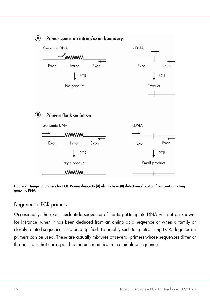

#### <span id="page-21-0"></span>Figure 2. Designing primers for PCR. Primer design to (A) eliminate or (B) detect amplification from contaminating genomic DNA.

#### Degenerate PCR primers

Occasionally, the exact nucleotide sequence of the target-template DNA will not be known, for instance, when it has been deduced from an amino acid sequence or when a family of closely related sequences is to be amplified. To amplify such templates using PCR, degenerate primers can be used. These are actually mixtures of several primers whose sequences differ at the positions that correspond to the uncertainties in the template sequence.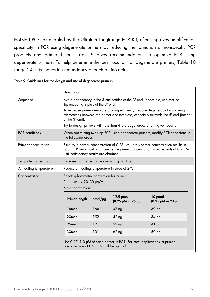<span id="page-22-1"></span>Hot-start PCR, as enabled by the UltraRun LongRange PCR Kit, often improves amplification specificity in PCR using degenerate primers by reducing the formation of nonspecific PCR products and primer–dimers. [Table 9](#page-22-0) gives recommendations to optimize PCR using degenerate primers. To help determine the best location for degenerate primers, [Table 10](#page-22-1) (page [24\)](#page-22-1) lists the codon redundancy of each amino acid.

|                        | <b>Description</b>                                                                                                                                                                                                          |                                                                               |                                 |                                              |
|------------------------|-----------------------------------------------------------------------------------------------------------------------------------------------------------------------------------------------------------------------------|-------------------------------------------------------------------------------|---------------------------------|----------------------------------------------|
| Sequence               | Avoid degeneracy in the 3 nucleotides at the 3' end. If possible, use Met- or<br>Trp-encoding triplets at the 3' end.                                                                                                       |                                                                               |                                 |                                              |
|                        | To increase primer-template binding efficiency, reduce degeneracy by allowing<br>mismatches between the primer and template, especially towards the 5' end (but not<br>at the 3' end).                                      |                                                                               |                                 |                                              |
|                        |                                                                                                                                                                                                                             | Try to design primers with less than 4-fold degeneracy at any given position. |                                 |                                              |
| PCR conditions         | When optimizing two-step PCR using degenerate primers, modify PCR conditions in<br>the following order.                                                                                                                     |                                                                               |                                 |                                              |
| Primer concentration   | First, try a primer concentration of 0.25 $\mu$ M. If this primer concentration results in<br>poor PCR amplification, increase the primer concentration in increments of 0.2 µM<br>until satisfactory results are obtained. |                                                                               |                                 |                                              |
| Template concentration |                                                                                                                                                                                                                             | Increase starting template amount (up to $1 \mu g$ ).                         |                                 |                                              |
| Annealing temperature  | Reduce annealing temperature in steps of 2°C.                                                                                                                                                                               |                                                                               |                                 |                                              |
| Concentration          | Spectrophotometric conversion for primers:                                                                                                                                                                                  |                                                                               |                                 |                                              |
|                        | 1 $A_{260}$ unit $\equiv$ 20-30 µg/ml.<br>Molar conversions:                                                                                                                                                                |                                                                               |                                 |                                              |
|                        | Primer length                                                                                                                                                                                                               | $pmol/\mu g$                                                                  | 12.5 pmol<br>(0.25 µM in 25 µl) | 10 pmol<br>$(0.25 \mu M \text{ in } 20 \mu)$ |
|                        | 18 <sub>mer</sub>                                                                                                                                                                                                           | 168                                                                           | 37 <sub>ng</sub>                | 30 <sub>ng</sub>                             |
|                        | 20mer                                                                                                                                                                                                                       | 152                                                                           | 42 <sub>ng</sub>                | 34 <sub>ng</sub>                             |
|                        |                                                                                                                                                                                                                             |                                                                               |                                 |                                              |
|                        | 25mer                                                                                                                                                                                                                       | 121                                                                           | 52 ng                           | 41 <sub>ng</sub>                             |

<span id="page-22-0"></span>Table 9. Guidelines for the design and use of degenerate primers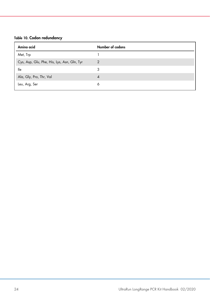#### Table 10. Codon redundancy

| Amino acid                                  | Number of codons |
|---------------------------------------------|------------------|
| Met, Trp                                    |                  |
| Cys, Asp, Glu, Phe, His, Lys, Asn, Gln, Tyr | $\overline{2}$   |
| lle                                         | 3                |
| Ala, Gly, Pro, Thr, Val                     | 4                |
| Leu, Arg, Ser                               | 6                |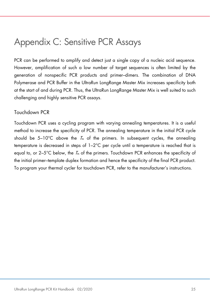### <span id="page-24-0"></span>Appendix C: Sensitive PCR Assays

PCR can be performed to amplify and detect just a single copy of a nucleic acid sequence. However, amplification of such a low number of target sequences is often limited by the generation of nonspecific PCR products and primer–dimers. The combination of DNA Polymerase and PCR Buffer in the UltraRun LongRange Master Mix increases specificity both at the start of and during PCR. Thus, the UltraRun LongRange Master Mix is well suited to such challenging and highly sensitive PCR assays.

#### Touchdown PCR

<span id="page-24-1"></span>Touchdown PCR uses a cycling program with varying annealing temperatures. It is a useful method to increase the specificity of PCR. The annealing temperature in the initial PCR cycle should be  $5-10^{\circ}$ C above the  $T_m$  of the primers. In subsequent cycles, the annealing temperature is decreased in steps of 1–2°C per cycle until a temperature is reached that is equal to, or  $2-5^{\circ}$ C below, the  $\mathcal{T}_m$  of the primers. Touchdown PCR enhances the specificity of the initial primer–template duplex formation and hence the specificity of the final PCR product. To program your thermal cycler for touchdown PCR, refer to the manufacturer's instructions.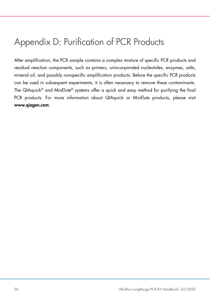### <span id="page-25-0"></span>Appendix D: Purification of PCR Products

After amplification, the PCR sample contains a complex mixture of specific PCR products and residual reaction components, such as primers, unincorporated nucleotides, enzymes, salts, mineral oil, and possibly nonspecific amplification products. Before the specific PCR products can be used in subsequent experiments, it is often necessary to remove these contaminants. The QIAquick® and MinElute® systems offer a quick and easy method for purifying the final PCR products. For more information about QIAquick or MinElute products, please visit www.qiagen.com.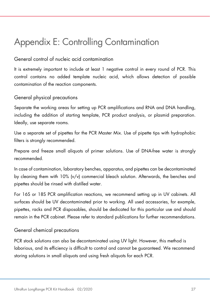### <span id="page-26-1"></span><span id="page-26-0"></span>Appendix E: Controlling Contamination

#### General control of nucleic acid contamination

It is extremely important to include at least 1 negative control in every round of PCR. This control contains no added template nucleic acid, which allows detection of possible contamination of the reaction components.

### General physical precautions

Separate the working areas for setting up PCR amplifications and RNA and DNA handling, including the addition of starting template, PCR product analysis, or plasmid preparation. Ideally, use separate rooms.

Use a separate set of pipettes for the PCR Master Mix. Use of pipette tips with hydrophobic filters is strongly recommended.

Prepare and freeze small aliquots of primer solutions. Use of DNA-free water is strongly recommended.

In case of contamination, laboratory benches, apparatus, and pipettes can be decontaminated by cleaning them with 10% (v/v) commercial bleach solution. Afterwards, the benches and pipettes should be rinsed with distilled water.

For 16S or 18S PCR amplification reactions, we recommend setting up in UV cabinets. All surfaces should be UV decontaminated prior to working. All used accessories, for example, pipettes, racks and PCR disposables, should be dedicated for this particular use and should remain in the PCR cabinet. Please refer to standard publications for further recommendations.

#### General chemical precautions

PCR stock solutions can also be decontaminated using UV light. However, this method is laborious, and its efficiency is difficult to control and cannot be guaranteed. We recommend storing solutions in small aliquots and using fresh aliquots for each PCR.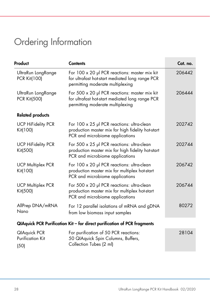# Ordering Information

| Product                                                                  | <b>Contents</b>                                                                                                                      | Cat. no. |
|--------------------------------------------------------------------------|--------------------------------------------------------------------------------------------------------------------------------------|----------|
| UltraRun LongRange<br><b>PCR Kit(100)</b>                                | For 100 x 20 µl PCR reactions: master mix kit<br>for ultrafast hot-start mediated long range PCR<br>permitting moderate multiplexing | 206442   |
| UltraRun LongRange<br><b>PCR Kit(500)</b>                                | For 500 x 20 µl PCR reactions: master mix kit<br>for ultrafast hot-start mediated long range PCR<br>permitting moderate multiplexing | 206444   |
| <b>Related products</b>                                                  |                                                                                                                                      |          |
| <b>UCP HiFidelity PCR</b><br>Kit(100)                                    | For 100 x 25 µl PCR reactions: ultra-clean<br>production master mix for high fidelity hot-start<br>PCR and microbiome applications   | 202742   |
| <b>UCP HiFidelity PCR</b><br>Kit(500)                                    | For 500 x 25 µl PCR reactions: ultra-clean<br>production master mix for high fidelity hot-start<br>PCR and microbiome applications   | 202744   |
| <b>UCP Multiplex PCR</b><br>Kit(100)                                     | For 100 x 20 µl PCR reactions: ultra-clean<br>production master mix for multiplex hot-start<br>PCR and microbiome applications       | 206742   |
| <b>UCP Multiplex PCR</b><br>Kit(500)                                     | For 500 x 20 µl PCR reactions: ultra-clean<br>production master mix for multiplex hot-start<br>PCR and microbiome applications       | 206744   |
| AllPrep DNA/mRNA<br>Nano                                                 | For 12 parallel isolations of mRNA and gDNA<br>from low biomass input samples                                                        | 80272    |
| QIAquick PCR Purification Kit - for direct purification of PCR fragments |                                                                                                                                      |          |
| <b>QIAquick PCR</b><br><b>Purification Kit</b><br>(50)                   | For purification of 50 PCR reactions:<br>50 QIAquick Spin Columns, Buffers,<br>Collection Tubes (2 ml)                               | 28104    |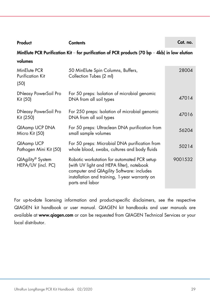| Product                                                                                       | <b>Contents</b>                                                                                                                                                                                           | Cat. no. |  |
|-----------------------------------------------------------------------------------------------|-----------------------------------------------------------------------------------------------------------------------------------------------------------------------------------------------------------|----------|--|
| MinElute PCR Purification Kit – for purification of PCR products (70 bp – 4kb) in low elution |                                                                                                                                                                                                           |          |  |
| volumes                                                                                       |                                                                                                                                                                                                           |          |  |
| MinElute PCR<br><b>Purification Kit</b><br>(50)                                               | 50 MinElute Spin Columns, Buffers,<br>Collection Tubes (2 ml)                                                                                                                                             | 28004    |  |
| <b>DNeasy PowerSoil Pro</b><br>Kit (50)                                                       | For 50 preps: Isolation of microbial genomic<br>DNA from all soil types                                                                                                                                   | 47014    |  |
| <b>DNeasy PowerSoil Pro</b><br>Kit (250)                                                      | For 250 preps: Isolation of microbial genomic<br>DNA from all soil types                                                                                                                                  | 47016    |  |
| QIAamp UCP DNA<br>Micro Kit (50)                                                              | For 50 preps: Ultraclean DNA purification from<br>small sample volumes                                                                                                                                    | 56204    |  |
| QIAamp UCP<br>Pathogen Mini Kit (50)                                                          | For 50 preps: Microbial DNA purification from<br>whole blood, swabs, cultures and body fluids                                                                                                             | 50214    |  |
| QIAgility® System<br>HEPA/UV (incl. PC)                                                       | Robotic workstation for automated PCR setup<br>(with UV light and HEPA filter), notebook<br>computer and QIAgility Software: includes<br>installation and training, 1-year warranty on<br>parts and labor | 9001532  |  |

For up-to-date licensing information and product-specific disclaimers, see the respective QIAGEN kit handbook or user manual. QIAGEN kit handbooks and user manuals are available at www.qiagen.com or can be requested from QIAGEN Technical Services or your local distributor.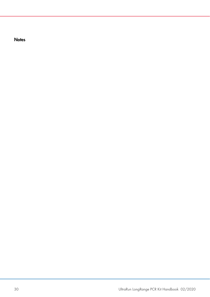**Notes**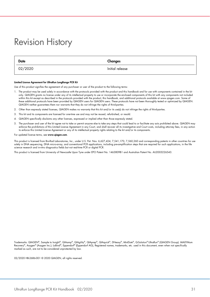### <span id="page-30-0"></span>Revision History

| <b>Date</b> | Changes         |
|-------------|-----------------|
| 02/2020     | Initial release |

#### Limited License Agreement for UltraRun LongRange PCR Kit

Use of this product signifies the agreement of any purchaser or user of the product to the following terms:

- 1. The product may be used solely in accordance with the protocols provided with the product and this handbook and for use with components contained in the kit only. QIAGEN grants no license under any of its intellectual property to use or incorporate the enclosed components of this kit with any components not included within this kit except as described in the protocols provided with the product, this handbook, and additional protocols available at www.qiagen.com. Some of these additional protocols have been provided by QIAGEN users for QIAGEN users. These protocols have not been thoroughly tested or optimized by QIAGEN. QIAGEN neither guarantees them nor warrants that they do not infringe the rights of third-parties.
- 2. Other than expressly stated licenses, QIAGEN makes no warranty that this kit and/or its use(s) do not infringe the rights of third-parties.
- 3. This kit and its components are licensed for one-time use and may not be reused, refurbished, or resold.
- 4. QIAGEN specifically disclaims any other licenses, expressed or implied other than those expressly stated.
- 5. The purchaser and user of the kit agree not to take or permit anyone else to take any steps that could lead to or facilitate any acts prohibited above. QIAGEN may enforce the prohibitions of this Limited License Agreement in any Court, and shall recover all its investigative and Court costs, including attorney tees, in any action<br>to enforce this Limited License Agreement or any of i

#### For updated license terms, see www.qiagen.com.

This product is licensed from Bio-Rad Laboratories, Inc., under U.S. Pat. Nos. 6,627,424, 7,541,170, 7,560,260 and corresponding patents in other countries for use solely in DNA sequencing, DNA micro-array, and conventional PCR applications, including pre-amplification steps that are required for such applications, in the life science research and in-vitro diagnostics fields but not real-time PCR or digital PCR.

This product is licensed from University of Newcastle Upon Tyne under EPO Patent No. 1463809B1 and Australian Patent No. AU2003226543.

Trademarks: QIAGEN®, Sample to Insight®, QIAamp®, QIAgility®, QIAprep®, QIAquick®, DNeasy®, MinElute®, Q-Solution® UltraRun® (QIAGEN Group). MAXYMum Recovery®, Axygen® (Axygen Inc.); LoBind®, Eppendorf® (Eppendorf AG), Registered names, trademarks, etc. used in this document, even when not specifically marked as such, are not to be considered unprotected by law.

02/2020 HB-2686-001 © 2020 QIAGEN, all rights reserved.